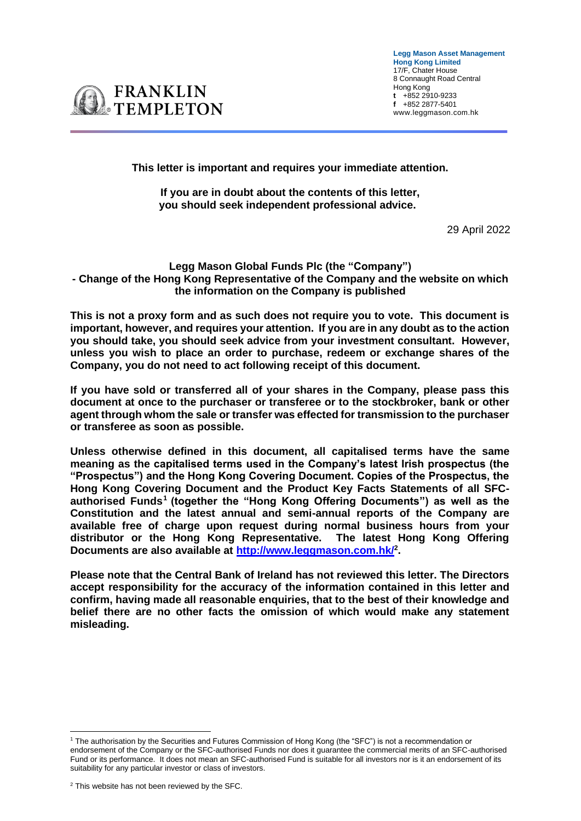**Legg Mason Asset Management Hong Kong Limited**  17/F, Chater House 8 Connaught Road Central Hong Kong **t** +852 2910-9233 **f** +852 2877-5401 www.leggmason.com.hk



**This letter is important and requires your immediate attention.** 

**If you are in doubt about the contents of this letter, you should seek independent professional advice.**

29 April 2022

## **Legg Mason Global Funds Plc (the "Company") - Change of the Hong Kong Representative of the Company and the website on which the information on the Company is published**

**This is not a proxy form and as such does not require you to vote. This document is important, however, and requires your attention. If you are in any doubt as to the action you should take, you should seek advice from your investment consultant. However, unless you wish to place an order to purchase, redeem or exchange shares of the Company, you do not need to act following receipt of this document.** 

**If you have sold or transferred all of your shares in the Company, please pass this document at once to the purchaser or transferee or to the stockbroker, bank or other agent through whom the sale or transfer was effected for transmission to the purchaser or transferee as soon as possible.** 

**Unless otherwise defined in this document, all capitalised terms have the same meaning as the capitalised terms used in the Company's latest Irish prospectus (the "Prospectus") and the Hong Kong Covering Document. Copies of the Prospectus, the Hong Kong Covering Document and the Product Key Facts Statements of all SFCauthorised Funds<sup>1</sup> (together the "Hong Kong Offering Documents") as well as the Constitution and the latest annual and semi-annual reports of the Company are available free of charge upon request during normal business hours from your distributor or the Hong Kong Representative. The latest Hong Kong Offering Documents are also available at<http://www.leggmason.com.hk/><sup>2</sup> .** 

**Please note that the Central Bank of Ireland has not reviewed this letter. The Directors accept responsibility for the accuracy of the information contained in this letter and confirm, having made all reasonable enquiries, that to the best of their knowledge and belief there are no other facts the omission of which would make any statement misleading.**

<sup>1</sup> The authorisation by the Securities and Futures Commission of Hong Kong (the "SFC") is not a recommendation or endorsement of the Company or the SFC-authorised Funds nor does it guarantee the commercial merits of an SFC-authorised Fund or its performance. It does not mean an SFC-authorised Fund is suitable for all investors nor is it an endorsement of its suitability for any particular investor or class of investors.

<sup>&</sup>lt;sup>2</sup> This website has not been reviewed by the SFC.